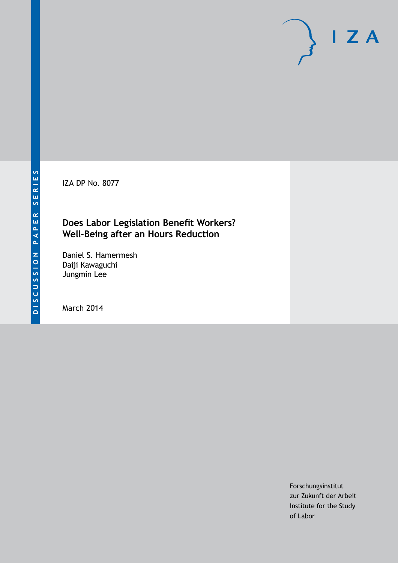IZA DP No. 8077

## **Does Labor Legislation Benefit Workers? Well-Being after an Hours Reduction**

Daniel S. Hamermesh Daiji Kawaguchi Jungmin Lee

March 2014

Forschungsinstitut zur Zukunft der Arbeit Institute for the Study of Labor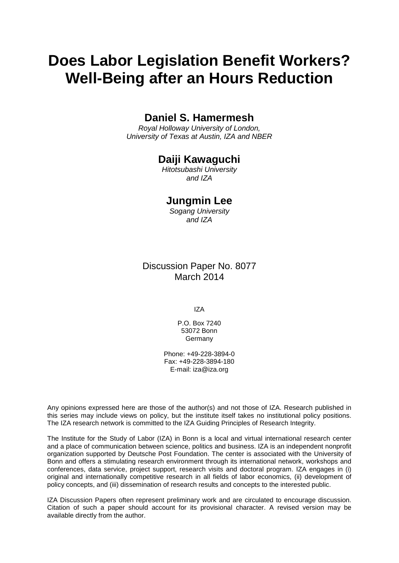# **Does Labor Legislation Benefit Workers? Well-Being after an Hours Reduction**

## **Daniel S. Hamermesh**

*Royal Holloway University of London, University of Texas at Austin, IZA and NBER*

## **Daiji Kawaguchi**

*Hitotsubashi University and IZA*

### **Jungmin Lee**

*Sogang University and IZA*

## Discussion Paper No. 8077 March 2014

IZA

P.O. Box 7240 53072 Bonn **Germany** 

Phone: +49-228-3894-0 Fax: +49-228-3894-180 E-mail: [iza@iza.org](mailto:iza@iza.org)

Any opinions expressed here are those of the author(s) and not those of IZA. Research published in this series may include views on policy, but the institute itself takes no institutional policy positions. The IZA research network is committed to the IZA Guiding Principles of Research Integrity.

The Institute for the Study of Labor (IZA) in Bonn is a local and virtual international research center and a place of communication between science, politics and business. IZA is an independent nonprofit organization supported by Deutsche Post Foundation. The center is associated with the University of Bonn and offers a stimulating research environment through its international network, workshops and conferences, data service, project support, research visits and doctoral program. IZA engages in (i) original and internationally competitive research in all fields of labor economics, (ii) development of policy concepts, and (iii) dissemination of research results and concepts to the interested public.

<span id="page-1-0"></span>IZA Discussion Papers often represent preliminary work and are circulated to encourage discussion. Citation of such a paper should account for its provisional character. A revised version may be available directly from the author.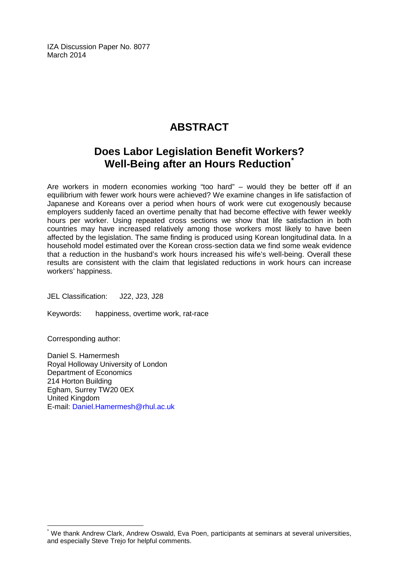IZA Discussion Paper No. 8077 March 2014

## **ABSTRACT**

## **Does Labor Legislation Benefit Workers? Well-Being after an Hours Reduction[\\*](#page-1-0)**

Are workers in modern economies working "too hard" – would they be better off if an equilibrium with fewer work hours were achieved? We examine changes in life satisfaction of Japanese and Koreans over a period when hours of work were cut exogenously because employers suddenly faced an overtime penalty that had become effective with fewer weekly hours per worker. Using repeated cross sections we show that life satisfaction in both countries may have increased relatively among those workers most likely to have been affected by the legislation. The same finding is produced using Korean longitudinal data. In a household model estimated over the Korean cross-section data we find some weak evidence that a reduction in the husband's work hours increased his wife's well-being. Overall these results are consistent with the claim that legislated reductions in work hours can increase workers' happiness.

JEL Classification: J22, J23, J28

Keywords: happiness, overtime work, rat-race

Corresponding author:

Daniel S. Hamermesh Royal Holloway University of London Department of Economics 214 Horton Building Egham, Surrey TW20 0EX United Kingdom E-mail: [Daniel.Hamermesh@rhul.ac.uk](mailto:Daniel.Hamermesh@rhul.ac.uk)

We thank Andrew Clark, Andrew Oswald, Eva Poen, participants at seminars at several universities, and especially Steve Trejo for helpful comments.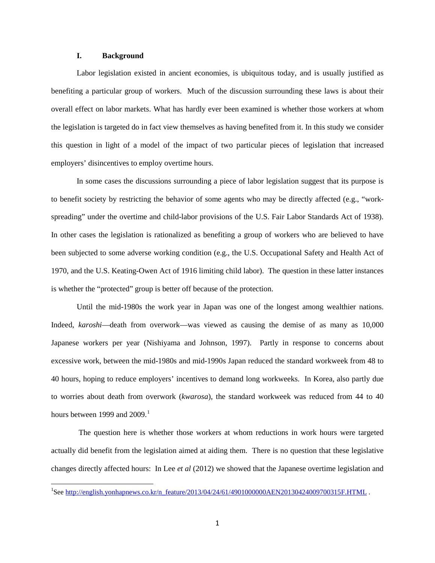#### **I. Background**

 $\overline{\phantom{a}}$ 

Labor legislation existed in ancient economies, is ubiquitous today, and is usually justified as benefiting a particular group of workers. Much of the discussion surrounding these laws is about their overall effect on labor markets. What has hardly ever been examined is whether those workers at whom the legislation is targeted do in fact view themselves as having benefited from it. In this study we consider this question in light of a model of the impact of two particular pieces of legislation that increased employers' disincentives to employ overtime hours.

In some cases the discussions surrounding a piece of labor legislation suggest that its purpose is to benefit society by restricting the behavior of some agents who may be directly affected (e.g., "workspreading" under the overtime and child-labor provisions of the U.S. Fair Labor Standards Act of 1938). In other cases the legislation is rationalized as benefiting a group of workers who are believed to have been subjected to some adverse working condition (e.g., the U.S. Occupational Safety and Health Act of 1970, and the U.S. Keating-Owen Act of 1916 limiting child labor). The question in these latter instances is whether the "protected" group is better off because of the protection.

Until the mid-1980s the work year in Japan was one of the longest among wealthier nations. Indeed, *karoshi*—death from overwork—was viewed as causing the demise of as many as 10,000 Japanese workers per year (Nishiyama and Johnson, 1997). Partly in response to concerns about excessive work, between the mid-1980s and mid-1990s Japan reduced the standard workweek from 48 to 40 hours, hoping to reduce employers' incentives to demand long workweeks. In Korea, also partly due to worries about death from overwork (*kwarosa*), the standard workweek was reduced from 44 to 40 hours between 1999 and  $2009<sup>1</sup>$ 

<span id="page-3-0"></span>The question here is whether those workers at whom reductions in work hours were targeted actually did benefit from the legislation aimed at aiding them. There is no question that these legislative changes directly affected hours: In Lee *et al* (2012) we showed that the Japanese overtime legislation and

<sup>&</sup>lt;sup>1</sup>See [http://english.yonhapnews.co.kr/n\\_feature/2013/04/24/61/4901000000AEN20130424009700315F.HTML](http://english.yonhapnews.co.kr/n_feature/2013/04/24/61/4901000000AEN20130424009700315F.HTML).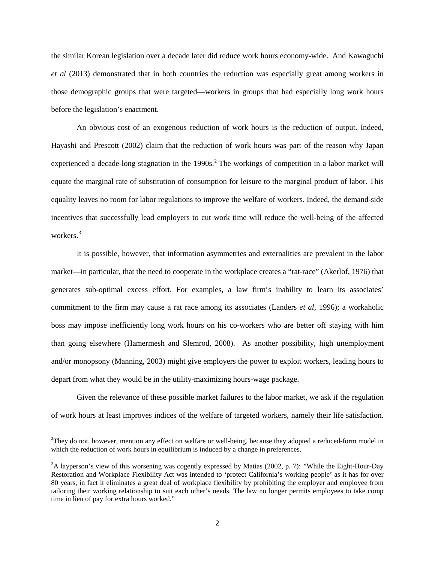the similar Korean legislation over a decade later did reduce work hours economy-wide. And Kawaguchi *et al* (2013) demonstrated that in both countries the reduction was especially great among workers in those demographic groups that were targeted—workers in groups that had especially long work hours before the legislation's enactment.

An obvious cost of an exogenous reduction of work hours is the reduction of output. Indeed, Hayashi and Prescott (2002) claim that the reduction of work hours was part of the reason why Japan experienced a decade-long stagnation in the  $1990s$ .<sup>[2](#page-3-0)</sup> The workings of competition in a labor market will equate the marginal rate of substitution of consumption for leisure to the marginal product of labor. This equality leaves no room for labor regulations to improve the welfare of workers. Indeed, the demand-side incentives that successfully lead employers to cut work time will reduce the well-being of the affected workers.<sup>[3](#page-4-0)</sup>

It is possible, however, that information asymmetries and externalities are prevalent in the labor market—in particular, that the need to cooperate in the workplace creates a "rat-race" (Akerlof, 1976) that generates sub-optimal excess effort. For examples, a law firm's inability to learn its associates' commitment to the firm may cause a rat race among its associates (Landers *et al*, 1996); a workaholic boss may impose inefficiently long work hours on his co-workers who are better off staying with him than going elsewhere (Hamermesh and Slemrod, 2008). As another possibility, high unemployment and/or monopsony (Manning, 2003) might give employers the power to exploit workers, leading hours to depart from what they would be in the utility-maximizing hours-wage package.

Given the relevance of these possible market failures to the labor market, we ask if the regulation of work hours at least improves indices of the welfare of targeted workers, namely their life satisfaction.

 $\frac{1}{2}$ <sup>2</sup>They do not, however, mention any effect on welfare or well-being, because they adopted a reduced-form model in which the reduction of work hours in equilibrium is induced by a change in preferences.

<span id="page-4-1"></span><span id="page-4-0"></span><sup>&</sup>lt;sup>3</sup>A layperson's view of this worsening was cogently expressed by Matias (2002, p. 7): "While the Eight-Hour-Day Restoration and Workplace Flexibility Act was intended to 'protect California's working people' as it has for over 80 years, in fact it eliminates a great deal of workplace flexibility by prohibiting the employer and employee from tailoring their working relationship to suit each other's needs. The law no longer permits employees to take comp time in lieu of pay for extra hours worked."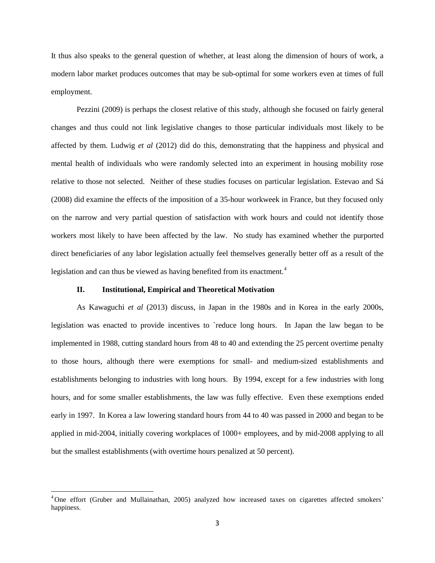It thus also speaks to the general question of whether, at least along the dimension of hours of work, a modern labor market produces outcomes that may be sub-optimal for some workers even at times of full employment.

Pezzini (2009) is perhaps the closest relative of this study, although she focused on fairly general changes and thus could not link legislative changes to those particular individuals most likely to be affected by them. Ludwig *et al* (2012) did do this, demonstrating that the happiness and physical and mental health of individuals who were randomly selected into an experiment in housing mobility rose relative to those not selected. Neither of these studies focuses on particular legislation. Estevao and Sá (2008) did examine the effects of the imposition of a 35-hour workweek in France, but they focused only on the narrow and very partial question of satisfaction with work hours and could not identify those workers most likely to have been affected by the law. No study has examined whether the purported direct beneficiaries of any labor legislation actually feel themselves generally better off as a result of the legislation and can thus be viewed as having benefited from its enactment.<sup>[4](#page-4-1)</sup>

#### **II. Institutional, Empirical and Theoretical Motivation**

As Kawaguchi *et al* (2013) discuss, in Japan in the 1980s and in Korea in the early 2000s, legislation was enacted to provide incentives to `reduce long hours. In Japan the law began to be implemented in 1988, cutting standard hours from 48 to 40 and extending the 25 percent overtime penalty to those hours, although there were exemptions for small- and medium-sized establishments and establishments belonging to industries with long hours. By 1994, except for a few industries with long hours, and for some smaller establishments, the law was fully effective. Even these exemptions ended early in 1997. In Korea a law lowering standard hours from 44 to 40 was passed in 2000 and began to be applied in mid-2004, initially covering workplaces of 1000+ employees, and by mid-2008 applying to all but the smallest establishments (with overtime hours penalized at 50 percent).

<span id="page-5-0"></span> $4$ One effort (Gruber and Mullainathan, 2005) analyzed how increased taxes on cigarettes affected smokers' happiness.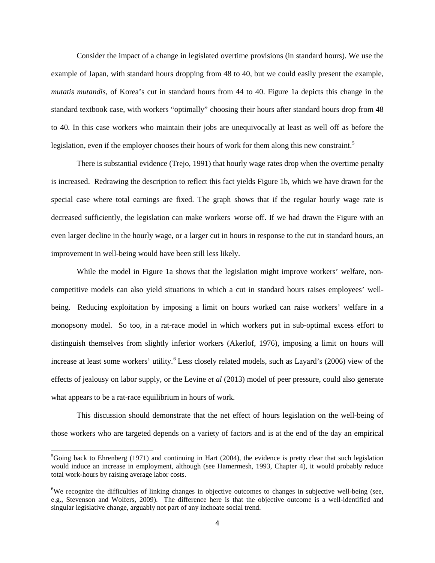Consider the impact of a change in legislated overtime provisions (in standard hours). We use the example of Japan, with standard hours dropping from 48 to 40, but we could easily present the example, *mutatis mutandis*, of Korea's cut in standard hours from 44 to 40. Figure 1a depicts this change in the standard textbook case, with workers "optimally" choosing their hours after standard hours drop from 48 to 40. In this case workers who maintain their jobs are unequivocally at least as well off as before the legislation, even if the employer chooses their hours of work for them along this new constraint.<sup>[5](#page-5-0)</sup>

There is substantial evidence (Trejo, 1991) that hourly wage rates drop when the overtime penalty is increased. Redrawing the description to reflect this fact yields Figure 1b, which we have drawn for the special case where total earnings are fixed. The graph shows that if the regular hourly wage rate is decreased sufficiently, the legislation can make workers worse off. If we had drawn the Figure with an even larger decline in the hourly wage, or a larger cut in hours in response to the cut in standard hours, an improvement in well-being would have been still less likely.

While the model in Figure 1a shows that the legislation might improve workers' welfare, noncompetitive models can also yield situations in which a cut in standard hours raises employees' wellbeing. Reducing exploitation by imposing a limit on hours worked can raise workers' welfare in a monopsony model. So too, in a rat-race model in which workers put in sub-optimal excess effort to distinguish themselves from slightly inferior workers (Akerlof, 1976), imposing a limit on hours will increase at least some workers' utility.<sup>[6](#page-6-0)</sup> Less closely related models, such as Layard's (2006) view of the effects of jealousy on labor supply, or the Levine *et al* (2013) model of peer pressure, could also generate what appears to be a rat-race equilibrium in hours of work.

This discussion should demonstrate that the net effect of hours legislation on the well-being of those workers who are targeted depends on a variety of factors and is at the end of the day an empirical

5  ${}^5$ Going back to Ehrenberg (1971) and continuing in Hart (2004), the evidence is pretty clear that such legislation would induce an increase in employment, although (see Hamermesh, 1993, Chapter 4), it would probably reduce total work-hours by raising average labor costs.

<span id="page-6-1"></span><span id="page-6-0"></span><sup>&</sup>lt;sup>6</sup>We recognize the difficulties of linking changes in objective outcomes to changes in subjective well-being (see, e.g., Stevenson and Wolfers, 2009). The difference here is that the objective outcome is a well-identified and singular legislative change, arguably not part of any inchoate social trend.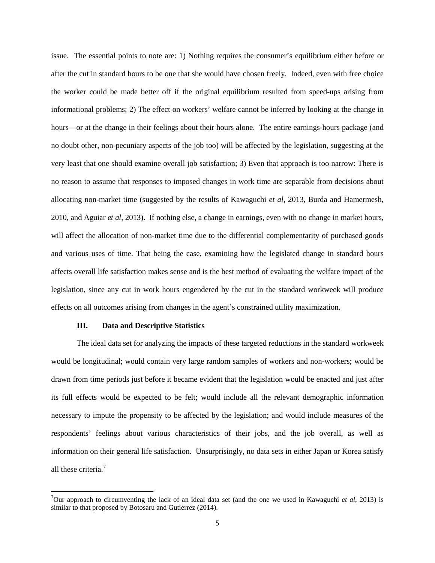issue. The essential points to note are: 1) Nothing requires the consumer's equilibrium either before or after the cut in standard hours to be one that she would have chosen freely. Indeed, even with free choice the worker could be made better off if the original equilibrium resulted from speed-ups arising from informational problems; 2) The effect on workers' welfare cannot be inferred by looking at the change in hours—or at the change in their feelings about their hours alone. The entire earnings-hours package (and no doubt other, non-pecuniary aspects of the job too) will be affected by the legislation, suggesting at the very least that one should examine overall job satisfaction; 3) Even that approach is too narrow: There is no reason to assume that responses to imposed changes in work time are separable from decisions about allocating non-market time (suggested by the results of Kawaguchi *et al*, 2013, Burda and Hamermesh, 2010, and Aguiar *et al*, 2013). If nothing else, a change in earnings, even with no change in market hours, will affect the allocation of non-market time due to the differential complementarity of purchased goods and various uses of time. That being the case, examining how the legislated change in standard hours affects overall life satisfaction makes sense and is the best method of evaluating the welfare impact of the legislation, since any cut in work hours engendered by the cut in the standard workweek will produce effects on all outcomes arising from changes in the agent's constrained utility maximization.

#### **III. Data and Descriptive Statistics**

The ideal data set for analyzing the impacts of these targeted reductions in the standard workweek would be longitudinal; would contain very large random samples of workers and non-workers; would be drawn from time periods just before it became evident that the legislation would be enacted and just after its full effects would be expected to be felt; would include all the relevant demographic information necessary to impute the propensity to be affected by the legislation; and would include measures of the respondents' feelings about various characteristics of their jobs, and the job overall, as well as information on their general life satisfaction. Unsurprisingly, no data sets in either Japan or Korea satisfy all these criteria.<sup>[7](#page-6-1)</sup>

<span id="page-7-0"></span><sup>-&</sup>lt;br>7 <sup>7</sup>Our approach to circumventing the lack of an ideal data set (and the one we used in Kawaguchi *et al*, 2013) is similar to that proposed by Botosaru and Gutierrez (2014).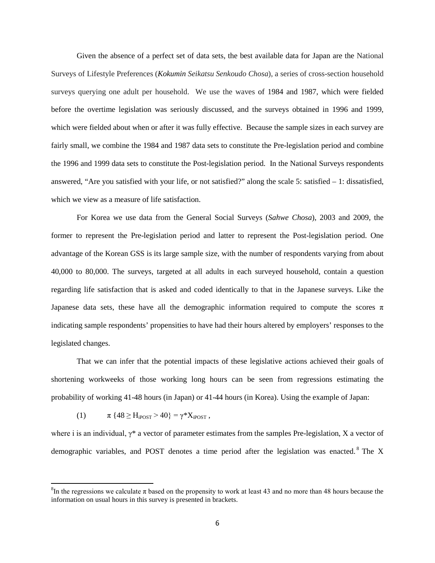Given the absence of a perfect set of data sets, the best available data for Japan are the National Surveys of Lifestyle Preferences (*Kokumin Seikatsu Senkoudo Chosa*), a series of cross-section household surveys querying one adult per household. We use the waves of 1984 and 1987, which were fielded before the overtime legislation was seriously discussed, and the surveys obtained in 1996 and 1999, which were fielded about when or after it was fully effective. Because the sample sizes in each survey are fairly small, we combine the 1984 and 1987 data sets to constitute the Pre-legislation period and combine the 1996 and 1999 data sets to constitute the Post-legislation period. In the National Surveys respondents answered, "Are you satisfied with your life, or not satisfied?" along the scale 5: satisfied  $-1$ : dissatisfied, which we view as a measure of life satisfaction.

For Korea we use data from the General Social Surveys (*Sahwe Chosa*), 2003 and 2009, the former to represent the Pre-legislation period and latter to represent the Post-legislation period. One advantage of the Korean GSS is its large sample size, with the number of respondents varying from about 40,000 to 80,000. The surveys, targeted at all adults in each surveyed household, contain a question regarding life satisfaction that is asked and coded identically to that in the Japanese surveys. Like the Japanese data sets, these have all the demographic information required to compute the scores  $\pi$ indicating sample respondents' propensities to have had their hours altered by employers' responses to the legislated changes.

That we can infer that the potential impacts of these legislative actions achieved their goals of shortening workweeks of those working long hours can be seen from regressions estimating the probability of working 41-48 hours (in Japan) or 41-44 hours (in Korea). Using the example of Japan:

(1) 
$$
\pi \{48 \ge H_{iPOST} > 40\} = \gamma^* X_{iPOST}
$$
,

where i is an individual,  $\gamma^*$  a vector of parameter estimates from the samples Pre-legislation, X a vector of demographic variables, and POST denotes a time period after the legislation was enacted. <sup>[8](#page-7-0)</sup> The X

<span id="page-8-0"></span>8 <sup>8</sup>In the regressions we calculate  $\pi$  based on the propensity to work at least 43 and no more than 48 hours because the information on usual hours in this survey is presented in brackets.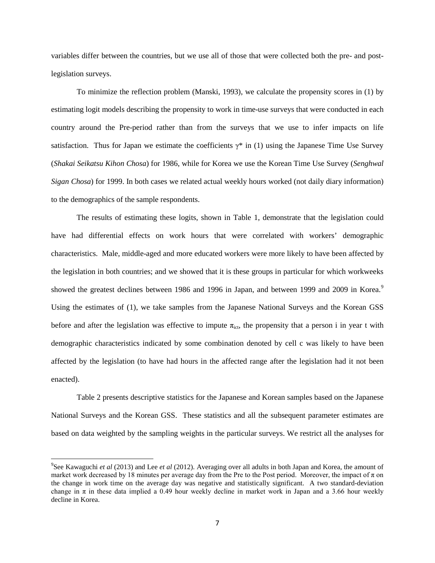variables differ between the countries, but we use all of those that were collected both the pre- and postlegislation surveys.

To minimize the reflection problem (Manski, 1993), we calculate the propensity scores in (1) by estimating logit models describing the propensity to work in time-use surveys that were conducted in each country around the Pre-period rather than from the surveys that we use to infer impacts on life satisfaction. Thus for Japan we estimate the coefficients  $\gamma^*$  in (1) using the Japanese Time Use Survey (*Shakai Seikatsu Kihon Chosa*) for 1986, while for Korea we use the Korean Time Use Survey (*Senghwal Sigan Chosa*) for 1999. In both cases we related actual weekly hours worked (not daily diary information) to the demographics of the sample respondents.

The results of estimating these logits, shown in Table 1, demonstrate that the legislation could have had differential effects on work hours that were correlated with workers' demographic characteristics. Male, middle-aged and more educated workers were more likely to have been affected by the legislation in both countries; and we showed that it is these groups in particular for which workweeks showed the greatest declines between 1[9](#page-8-0)86 and 1996 in Japan, and between 1999 and 2009 in Korea.<sup>9</sup> Using the estimates of (1), we take samples from the Japanese National Surveys and the Korean GSS before and after the legislation was effective to impute  $\pi_{\text{ict}}$ , the propensity that a person i in year t with demographic characteristics indicated by some combination denoted by cell c was likely to have been affected by the legislation (to have had hours in the affected range after the legislation had it not been enacted).

Table 2 presents descriptive statistics for the Japanese and Korean samples based on the Japanese National Surveys and the Korean GSS. These statistics and all the subsequent parameter estimates are based on data weighted by the sampling weights in the particular surveys. We restrict all the analyses for

<span id="page-9-0"></span><sup>-&</sup>lt;br>9 See Kawaguchi *et al* (2013) and Lee *et al* (2012). Averaging over all adults in both Japan and Korea, the amount of market work decreased by 18 minutes per average day from the Pre to the Post period. Moreover, the impact of  $\pi$  on the change in work time on the average day was negative and statistically significant. A two standard-deviation change in  $\pi$  in these data implied a 0.49 hour weekly decline in market work in Japan and a 3.66 hour weekly decline in Korea.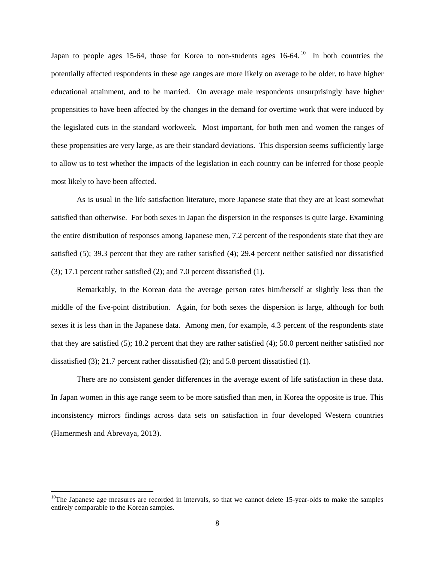Japan to people ages 15-64, those for Korea to non-students ages  $16-64$ . <sup>[10](#page-9-0)</sup> In both countries the potentially affected respondents in these age ranges are more likely on average to be older, to have higher educational attainment, and to be married. On average male respondents unsurprisingly have higher propensities to have been affected by the changes in the demand for overtime work that were induced by the legislated cuts in the standard workweek. Most important, for both men and women the ranges of these propensities are very large, as are their standard deviations. This dispersion seems sufficiently large to allow us to test whether the impacts of the legislation in each country can be inferred for those people most likely to have been affected.

As is usual in the life satisfaction literature, more Japanese state that they are at least somewhat satisfied than otherwise. For both sexes in Japan the dispersion in the responses is quite large. Examining the entire distribution of responses among Japanese men, 7.2 percent of the respondents state that they are satisfied (5); 39.3 percent that they are rather satisfied (4); 29.4 percent neither satisfied nor dissatisfied (3); 17.1 percent rather satisfied (2); and 7.0 percent dissatisfied (1).

Remarkably, in the Korean data the average person rates him/herself at slightly less than the middle of the five-point distribution. Again, for both sexes the dispersion is large, although for both sexes it is less than in the Japanese data. Among men, for example, 4.3 percent of the respondents state that they are satisfied (5); 18.2 percent that they are rather satisfied (4); 50.0 percent neither satisfied nor dissatisfied (3); 21.7 percent rather dissatisfied (2); and 5.8 percent dissatisfied (1).

There are no consistent gender differences in the average extent of life satisfaction in these data. In Japan women in this age range seem to be more satisfied than men, in Korea the opposite is true. This inconsistency mirrors findings across data sets on satisfaction in four developed Western countries (Hamermesh and Abrevaya, 2013).

<span id="page-10-0"></span> $10$ The Japanese age measures are recorded in intervals, so that we cannot delete 15-year-olds to make the samples entirely comparable to the Korean samples.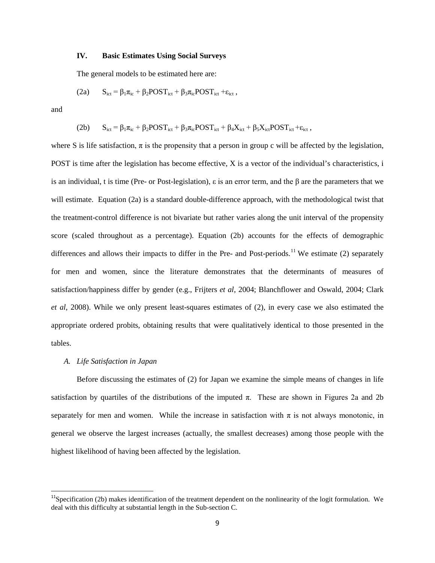#### **IV. Basic Estimates Using Social Surveys**

The general models to be estimated here are:

(2a) 
$$
S_{\text{ict}} = \beta_1 \pi_{\text{ic}} + \beta_2 \text{POST}_{\text{ict}} + \beta_3 \pi_{\text{ic}} \text{POST}_{\text{ict}} + \varepsilon_{\text{ict}},
$$

and

$$
(2b) \qquad S_{ict} = \beta_1 \pi_{ic} + \beta_2 POST_{ict} + \beta_3 \pi_{ic} POST_{ict} + \beta_4 X_{ict} + \beta_5 X_{ict} POST_{ict} + \varepsilon_{ict},
$$

where S is life satisfaction,  $\pi$  is the propensity that a person in group c will be affected by the legislation, POST is time after the legislation has become effective, X is a vector of the individual's characteristics, i is an individual, t is time (Pre- or Post-legislation),  $ε$  is an error term, and the  $β$  are the parameters that we will estimate. Equation (2a) is a standard double-difference approach, with the methodological twist that the treatment-control difference is not bivariate but rather varies along the unit interval of the propensity score (scaled throughout as a percentage). Equation (2b) accounts for the effects of demographic differences and allows their impacts to differ in the Pre- and Post-periods.<sup>[11](#page-10-0)</sup> We estimate (2) separately for men and women, since the literature demonstrates that the determinants of measures of satisfaction/happiness differ by gender (e.g., Frijters *et al*, 2004; Blanchflower and Oswald, 2004; Clark *et al*, 2008). While we only present least-squares estimates of (2), in every case we also estimated the appropriate ordered probits, obtaining results that were qualitatively identical to those presented in the tables.

#### *A. Life Satisfaction in Japan*

Before discussing the estimates of (2) for Japan we examine the simple means of changes in life satisfaction by quartiles of the distributions of the imputed  $\pi$ . These are shown in Figures 2a and 2b separately for men and women. While the increase in satisfaction with  $\pi$  is not always monotonic, in general we observe the largest increases (actually, the smallest decreases) among those people with the highest likelihood of having been affected by the legislation.

<span id="page-11-0"></span> $11$ Specification (2b) makes identification of the treatment dependent on the nonlinearity of the logit formulation. We deal with this difficulty at substantial length in the Sub-section C.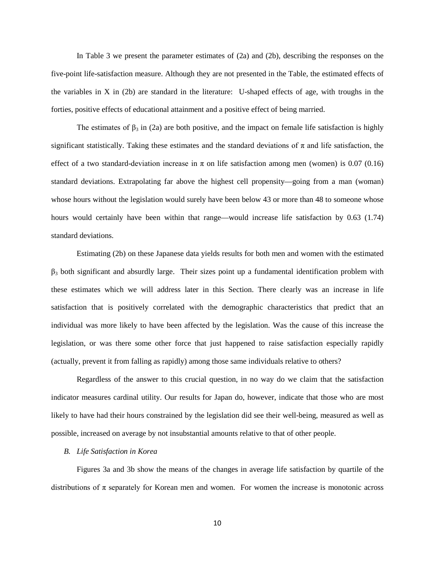In Table 3 we present the parameter estimates of (2a) and (2b), describing the responses on the five-point life-satisfaction measure. Although they are not presented in the Table, the estimated effects of the variables in X in (2b) are standard in the literature: U-shaped effects of age, with troughs in the forties, positive effects of educational attainment and a positive effect of being married.

The estimates of  $\beta_3$  in (2a) are both positive, and the impact on female life satisfaction is highly significant statistically. Taking these estimates and the standard deviations of  $\pi$  and life satisfaction, the effect of a two standard-deviation increase in  $\pi$  on life satisfaction among men (women) is 0.07 (0.16) standard deviations. Extrapolating far above the highest cell propensity—going from a man (woman) whose hours without the legislation would surely have been below 43 or more than 48 to someone whose hours would certainly have been within that range—would increase life satisfaction by 0.63 (1.74) standard deviations.

Estimating (2b) on these Japanese data yields results for both men and women with the estimated  $\beta_3$  both significant and absurdly large. Their sizes point up a fundamental identification problem with these estimates which we will address later in this Section. There clearly was an increase in life satisfaction that is positively correlated with the demographic characteristics that predict that an individual was more likely to have been affected by the legislation. Was the cause of this increase the legislation, or was there some other force that just happened to raise satisfaction especially rapidly (actually, prevent it from falling as rapidly) among those same individuals relative to others?

Regardless of the answer to this crucial question, in no way do we claim that the satisfaction indicator measures cardinal utility. Our results for Japan do, however, indicate that those who are most likely to have had their hours constrained by the legislation did see their well-being, measured as well as possible, increased on average by not insubstantial amounts relative to that of other people.

#### *B. Life Satisfaction in Korea*

Figures 3a and 3b show the means of the changes in average life satisfaction by quartile of the distributions of  $\pi$  separately for Korean men and women. For women the increase is monotonic across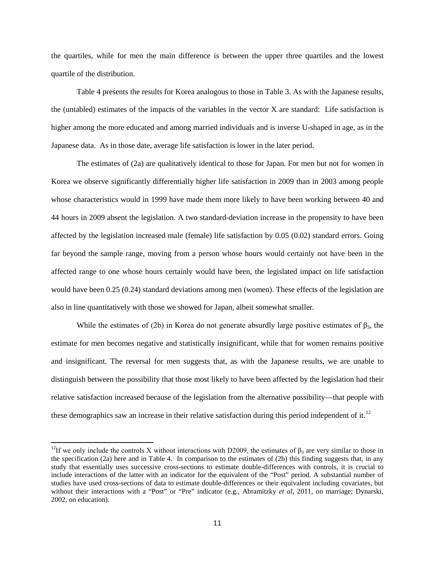the quartiles, while for men the main difference is between the upper three quartiles and the lowest quartile of the distribution.

Table 4 presents the results for Korea analogous to those in Table 3. As with the Japanese results, the (untabled) estimates of the impacts of the variables in the vector X are standard: Life satisfaction is higher among the more educated and among married individuals and is inverse U-shaped in age, as in the Japanese data. As in those date, average life satisfaction is lower in the later period.

The estimates of (2a) are qualitatively identical to those for Japan. For men but not for women in Korea we observe significantly differentially higher life satisfaction in 2009 than in 2003 among people whose characteristics would in 1999 have made them more likely to have been working between 40 and 44 hours in 2009 absent the legislation. A two standard-deviation increase in the propensity to have been affected by the legislation increased male (female) life satisfaction by 0.05 (0.02) standard errors. Going far beyond the sample range, moving from a person whose hours would certainly not have been in the affected range to one whose hours certainly would have been, the legislated impact on life satisfaction would have been 0.25 (0.24) standard deviations among men (women). These effects of the legislation are also in line quantitatively with those we showed for Japan, albeit somewhat smaller.

While the estimates of (2b) in Korea do not generate absurdly large positive estimates of  $\beta_3$ , the estimate for men becomes negative and statistically insignificant, while that for women remains positive and insignificant. The reversal for men suggests that, as with the Japanese results, we are unable to distinguish between the possibility that those most likely to have been affected by the legislation had their relative satisfaction increased because of the legislation from the alternative possibility—that people with these demographics saw an increase in their relative satisfaction during this period independent of it.<sup>[12](#page-11-0)</sup>

<span id="page-13-0"></span><sup>&</sup>lt;sup>12</sup>If we only include the controls X without interactions with D2009, the estimates of  $\beta_3$  are very similar to those in the specification (2a) here and in Table 4. In comparison to the estimates of (2b) this finding suggests that, in any study that essentially uses successive cross-sections to estimate double-differences with controls, it is crucial to include interactions of the latter with an indicator for the equivalent of the "Post" period. A substantial number of studies have used cross-sections of data to estimate double-differences or their equivalent including covariates, but without their interactions with a "Post" or "Pre" indicator (e.g., Abramitzky *et al*, 2011, on marriage; Dynarski, 2002, on education).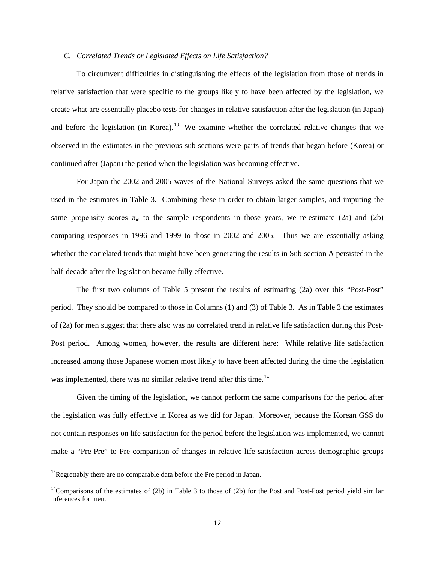#### *C. Correlated Trends or Legislated Effects on Life Satisfaction?*

To circumvent difficulties in distinguishing the effects of the legislation from those of trends in relative satisfaction that were specific to the groups likely to have been affected by the legislation, we create what are essentially placebo tests for changes in relative satisfaction after the legislation (in Japan) and before the legislation (in Korea).<sup>[13](#page-13-0)</sup> We examine whether the correlated relative changes that we observed in the estimates in the previous sub-sections were parts of trends that began before (Korea) or continued after (Japan) the period when the legislation was becoming effective.

For Japan the 2002 and 2005 waves of the National Surveys asked the same questions that we used in the estimates in Table 3. Combining these in order to obtain larger samples, and imputing the same propensity scores  $\pi_{ic}$  to the sample respondents in those years, we re-estimate (2a) and (2b) comparing responses in 1996 and 1999 to those in 2002 and 2005. Thus we are essentially asking whether the correlated trends that might have been generating the results in Sub-section A persisted in the half-decade after the legislation became fully effective.

The first two columns of Table 5 present the results of estimating (2a) over this "Post-Post" period. They should be compared to those in Columns (1) and (3) of Table 3. As in Table 3 the estimates of (2a) for men suggest that there also was no correlated trend in relative life satisfaction during this Post-Post period. Among women, however, the results are different here: While relative life satisfaction increased among those Japanese women most likely to have been affected during the time the legislation was implemented, there was no similar relative trend after this time.<sup>[14](#page-14-0)</sup>

Given the timing of the legislation, we cannot perform the same comparisons for the period after the legislation was fully effective in Korea as we did for Japan. Moreover, because the Korean GSS do not contain responses on life satisfaction for the period before the legislation was implemented, we cannot make a "Pre-Pre" to Pre comparison of changes in relative life satisfaction across demographic groups

<span id="page-14-1"></span><sup>&</sup>lt;sup>13</sup>Regrettably there are no comparable data before the Pre period in Japan.

<span id="page-14-0"></span><sup>&</sup>lt;sup>14</sup>Comparisons of the estimates of (2b) in Table 3 to those of (2b) for the Post and Post-Post period yield similar inferences for men.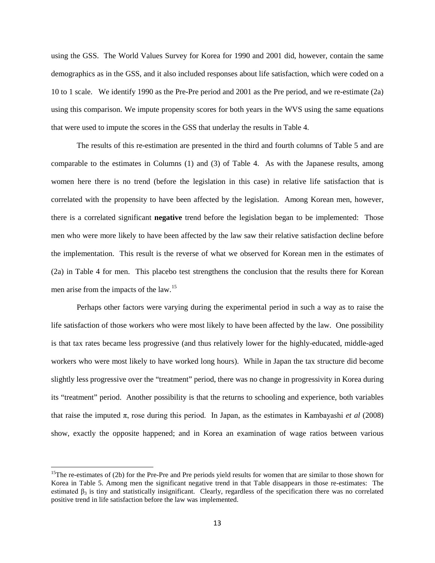using the GSS. The World Values Survey for Korea for 1990 and 2001 did, however, contain the same demographics as in the GSS, and it also included responses about life satisfaction, which were coded on a 10 to 1 scale. We identify 1990 as the Pre-Pre period and 2001 as the Pre period, and we re-estimate (2a) using this comparison. We impute propensity scores for both years in the WVS using the same equations that were used to impute the scores in the GSS that underlay the results in Table 4.

The results of this re-estimation are presented in the third and fourth columns of Table 5 and are comparable to the estimates in Columns (1) and (3) of Table 4. As with the Japanese results, among women here there is no trend (before the legislation in this case) in relative life satisfaction that is correlated with the propensity to have been affected by the legislation. Among Korean men, however, there is a correlated significant **negative** trend before the legislation began to be implemented: Those men who were more likely to have been affected by the law saw their relative satisfaction decline before the implementation. This result is the reverse of what we observed for Korean men in the estimates of (2a) in Table 4 for men. This placebo test strengthens the conclusion that the results there for Korean men arise from the impacts of the law.<sup>15</sup>

Perhaps other factors were varying during the experimental period in such a way as to raise the life satisfaction of those workers who were most likely to have been affected by the law. One possibility is that tax rates became less progressive (and thus relatively lower for the highly-educated, middle-aged workers who were most likely to have worked long hours). While in Japan the tax structure did become slightly less progressive over the "treatment" period, there was no change in progressivity in Korea during its "treatment" period. Another possibility is that the returns to schooling and experience, both variables that raise the imputed π, rose during this period. In Japan, as the estimates in Kambayashi *et al* (2008) show, exactly the opposite happened; and in Korea an examination of wage ratios between various

<span id="page-15-0"></span> $15$ The re-estimates of (2b) for the Pre-Pre and Pre periods yield results for women that are similar to those shown for Korea in Table 5. Among men the significant negative trend in that Table disappears in those re-estimates: The estimated  $\beta_3$  is tiny and statistically insignificant. Clearly, regardless of the specification there was no correlated positive trend in life satisfaction before the law was implemented.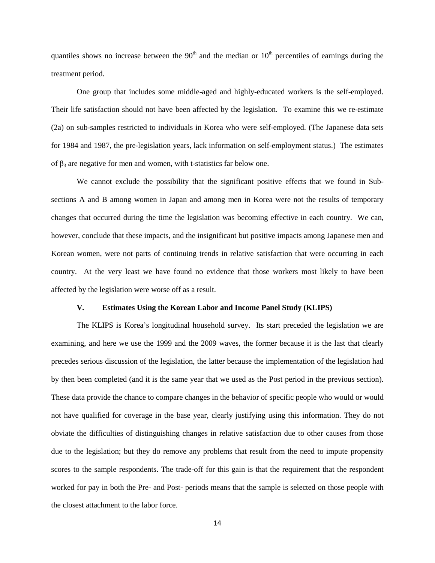quantiles shows no increase between the  $90<sup>th</sup>$  and the median or  $10<sup>th</sup>$  percentiles of earnings during the treatment period.

One group that includes some middle-aged and highly-educated workers is the self-employed. Their life satisfaction should not have been affected by the legislation. To examine this we re-estimate (2a) on sub-samples restricted to individuals in Korea who were self-employed. (The Japanese data sets for 1984 and 1987, the pre-legislation years, lack information on self-employment status.) The estimates of  $\beta_3$  are negative for men and women, with t-statistics far below one.

We cannot exclude the possibility that the significant positive effects that we found in Subsections A and B among women in Japan and among men in Korea were not the results of temporary changes that occurred during the time the legislation was becoming effective in each country. We can, however, conclude that these impacts, and the insignificant but positive impacts among Japanese men and Korean women, were not parts of continuing trends in relative satisfaction that were occurring in each country. At the very least we have found no evidence that those workers most likely to have been affected by the legislation were worse off as a result.

#### **V. Estimates Using the Korean Labor and Income Panel Study (KLIPS)**

The KLIPS is Korea's longitudinal household survey. Its start preceded the legislation we are examining, and here we use the 1999 and the 2009 waves, the former because it is the last that clearly precedes serious discussion of the legislation, the latter because the implementation of the legislation had by then been completed (and it is the same year that we used as the Post period in the previous section). These data provide the chance to compare changes in the behavior of specific people who would or would not have qualified for coverage in the base year, clearly justifying using this information. They do not obviate the difficulties of distinguishing changes in relative satisfaction due to other causes from those due to the legislation; but they do remove any problems that result from the need to impute propensity scores to the sample respondents. The trade-off for this gain is that the requirement that the respondent worked for pay in both the Pre- and Post- periods means that the sample is selected on those people with the closest attachment to the labor force.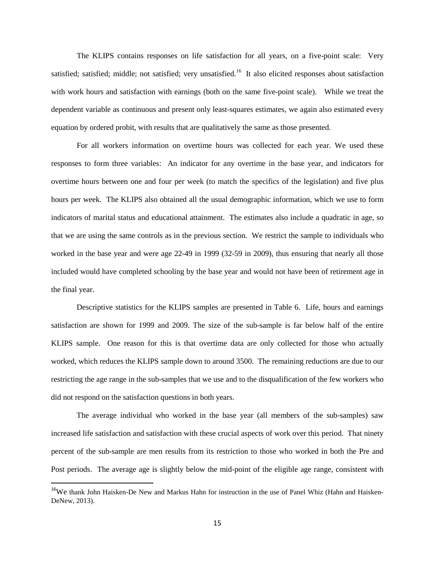The KLIPS contains responses on life satisfaction for all years, on a five-point scale: Very satisfied; satisfied; middle; not satisfied; very unsatisfied.<sup>16</sup> It also elicited responses about satisfaction with work hours and satisfaction with earnings (both on the same five-point scale). While we treat the dependent variable as continuous and present only least-squares estimates, we again also estimated every equation by ordered probit, with results that are qualitatively the same as those presented.

For all workers information on overtime hours was collected for each year. We used these responses to form three variables: An indicator for any overtime in the base year, and indicators for overtime hours between one and four per week (to match the specifics of the legislation) and five plus hours per week. The KLIPS also obtained all the usual demographic information, which we use to form indicators of marital status and educational attainment. The estimates also include a quadratic in age, so that we are using the same controls as in the previous section. We restrict the sample to individuals who worked in the base year and were age 22-49 in 1999 (32-59 in 2009), thus ensuring that nearly all those included would have completed schooling by the base year and would not have been of retirement age in the final year.

Descriptive statistics for the KLIPS samples are presented in Table 6. Life, hours and earnings satisfaction are shown for 1999 and 2009. The size of the sub-sample is far below half of the entire KLIPS sample. One reason for this is that overtime data are only collected for those who actually worked, which reduces the KLIPS sample down to around 3500. The remaining reductions are due to our restricting the age range in the sub-samples that we use and to the disqualification of the few workers who did not respond on the satisfaction questions in both years.

The average individual who worked in the base year (all members of the sub-samples) saw increased life satisfaction and satisfaction with these crucial aspects of work over this period. That ninety percent of the sub-sample are men results from its restriction to those who worked in both the Pre and Post periods. The average age is slightly below the mid-point of the eligible age range, consistent with

<span id="page-17-0"></span><sup>&</sup>lt;sup>16</sup>We thank John Haisken-De New and Markus Hahn for instruction in the use of Panel Whiz (Hahn and Haisken-DeNew, 2013).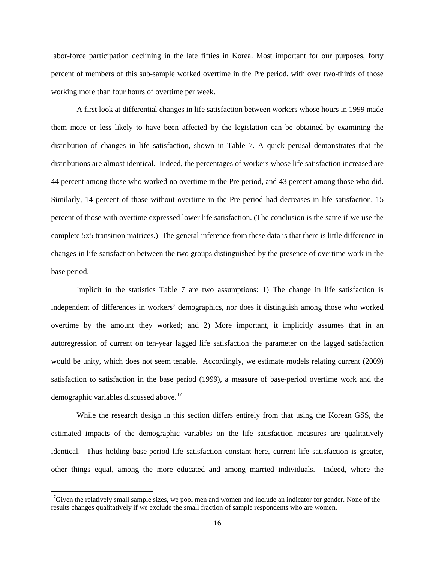labor-force participation declining in the late fifties in Korea. Most important for our purposes, forty percent of members of this sub-sample worked overtime in the Pre period, with over two-thirds of those working more than four hours of overtime per week.

A first look at differential changes in life satisfaction between workers whose hours in 1999 made them more or less likely to have been affected by the legislation can be obtained by examining the distribution of changes in life satisfaction, shown in Table 7. A quick perusal demonstrates that the distributions are almost identical. Indeed, the percentages of workers whose life satisfaction increased are 44 percent among those who worked no overtime in the Pre period, and 43 percent among those who did. Similarly, 14 percent of those without overtime in the Pre period had decreases in life satisfaction, 15 percent of those with overtime expressed lower life satisfaction. (The conclusion is the same if we use the complete 5x5 transition matrices.) The general inference from these data is that there is little difference in changes in life satisfaction between the two groups distinguished by the presence of overtime work in the base period.

Implicit in the statistics Table 7 are two assumptions: 1) The change in life satisfaction is independent of differences in workers' demographics, nor does it distinguish among those who worked overtime by the amount they worked; and 2) More important, it implicitly assumes that in an autoregression of current on ten-year lagged life satisfaction the parameter on the lagged satisfaction would be unity, which does not seem tenable. Accordingly, we estimate models relating current (2009) satisfaction to satisfaction in the base period (1999), a measure of base-period overtime work and the demographic variables discussed above.<sup>[17](#page-17-0)</sup>

While the research design in this section differs entirely from that using the Korean GSS, the estimated impacts of the demographic variables on the life satisfaction measures are qualitatively identical. Thus holding base-period life satisfaction constant here, current life satisfaction is greater, other things equal, among the more educated and among married individuals. Indeed, where the

<span id="page-18-0"></span> $17$  Given the relatively small sample sizes, we pool men and women and include an indicator for gender. None of the results changes qualitatively if we exclude the small fraction of sample respondents who are women.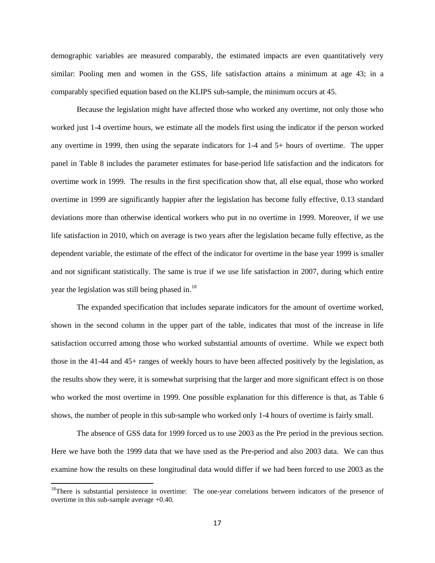demographic variables are measured comparably, the estimated impacts are even quantitatively very similar: Pooling men and women in the GSS, life satisfaction attains a minimum at age 43; in a comparably specified equation based on the KLIPS sub-sample, the minimum occurs at 45.

Because the legislation might have affected those who worked any overtime, not only those who worked just 1-4 overtime hours, we estimate all the models first using the indicator if the person worked any overtime in 1999, then using the separate indicators for 1-4 and 5+ hours of overtime. The upper panel in Table 8 includes the parameter estimates for base-period life satisfaction and the indicators for overtime work in 1999. The results in the first specification show that, all else equal, those who worked overtime in 1999 are significantly happier after the legislation has become fully effective, 0.13 standard deviations more than otherwise identical workers who put in no overtime in 1999. Moreover, if we use life satisfaction in 2010, which on average is two years after the legislation became fully effective, as the dependent variable, the estimate of the effect of the indicator for overtime in the base year 1999 is smaller and not significant statistically. The same is true if we use life satisfaction in 2007, during which entire year the legislation was still being phased in.<sup>[18](#page-18-0)</sup>

The expanded specification that includes separate indicators for the amount of overtime worked, shown in the second column in the upper part of the table, indicates that most of the increase in life satisfaction occurred among those who worked substantial amounts of overtime. While we expect both those in the 41-44 and 45+ ranges of weekly hours to have been affected positively by the legislation, as the results show they were, it is somewhat surprising that the larger and more significant effect is on those who worked the most overtime in 1999. One possible explanation for this difference is that, as Table 6 shows, the number of people in this sub-sample who worked only 1-4 hours of overtime is fairly small.

<span id="page-19-0"></span>The absence of GSS data for 1999 forced us to use 2003 as the Pre period in the previous section. Here we have both the 1999 data that we have used as the Pre-period and also 2003 data. We can thus examine how the results on these longitudinal data would differ if we had been forced to use 2003 as the

<sup>&</sup>lt;sup>18</sup>There is substantial persistence in overtime: The one-year correlations between indicators of the presence of overtime in this sub-sample average +0.40.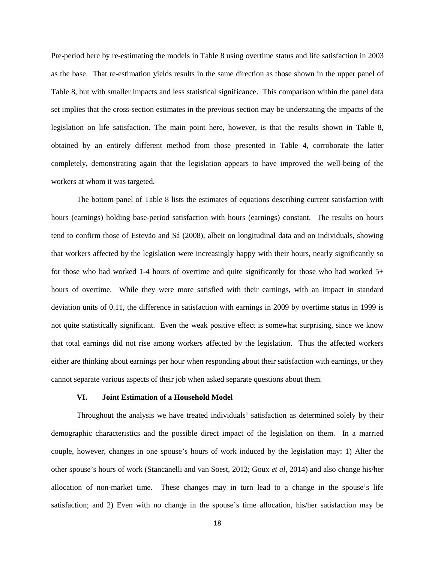Pre-period here by re-estimating the models in Table 8 using overtime status and life satisfaction in 2003 as the base. That re-estimation yields results in the same direction as those shown in the upper panel of Table 8, but with smaller impacts and less statistical significance. This comparison within the panel data set implies that the cross-section estimates in the previous section may be understating the impacts of the legislation on life satisfaction. The main point here, however, is that the results shown in Table 8, obtained by an entirely different method from those presented in Table 4, corroborate the latter completely, demonstrating again that the legislation appears to have improved the well-being of the workers at whom it was targeted.

The bottom panel of Table 8 lists the estimates of equations describing current satisfaction with hours (earnings) holding base-period satisfaction with hours (earnings) constant. The results on hours tend to confirm those of Estevão and Sá (2008), albeit on longitudinal data and on individuals, showing that workers affected by the legislation were increasingly happy with their hours, nearly significantly so for those who had worked 1-4 hours of overtime and quite significantly for those who had worked 5+ hours of overtime. While they were more satisfied with their earnings, with an impact in standard deviation units of 0.11, the difference in satisfaction with earnings in 2009 by overtime status in 1999 is not quite statistically significant. Even the weak positive effect is somewhat surprising, since we know that total earnings did not rise among workers affected by the legislation. Thus the affected workers either are thinking about earnings per hour when responding about their satisfaction with earnings, or they cannot separate various aspects of their job when asked separate questions about them.

#### **VI. Joint Estimation of a Household Model**

Throughout the analysis we have treated individuals' satisfaction as determined solely by their demographic characteristics and the possible direct impact of the legislation on them. In a married couple, however, changes in one spouse's hours of work induced by the legislation may: 1) Alter the other spouse's hours of work (Stancanelli and van Soest, 2012; Goux *et al*, 2014) and also change his/her allocation of non-market time. These changes may in turn lead to a change in the spouse's life satisfaction; and 2) Even with no change in the spouse's time allocation, his/her satisfaction may be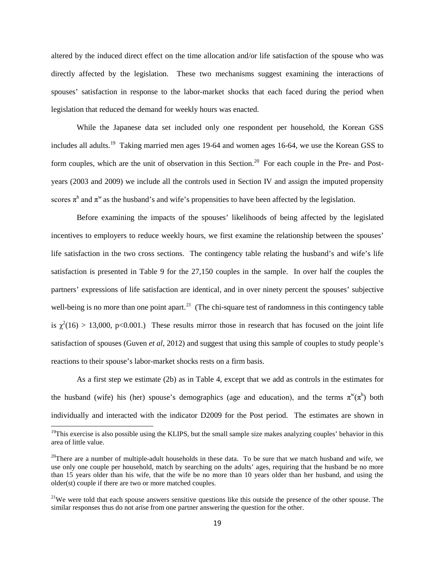altered by the induced direct effect on the time allocation and/or life satisfaction of the spouse who was directly affected by the legislation. These two mechanisms suggest examining the interactions of spouses' satisfaction in response to the labor-market shocks that each faced during the period when legislation that reduced the demand for weekly hours was enacted.

While the Japanese data set included only one respondent per household, the Korean GSS includes all adults.<sup>[19](#page-19-0)</sup> Taking married men ages 19-64 and women ages 16-64, we use the Korean GSS to form couples, which are the unit of observation in this Section.<sup>[20](#page-21-0)</sup> For each couple in the Pre- and Postyears (2003 and 2009) we include all the controls used in Section IV and assign the imputed propensity scores  $\pi^h$  and  $\pi^w$  as the husband's and wife's propensities to have been affected by the legislation.

Before examining the impacts of the spouses' likelihoods of being affected by the legislated incentives to employers to reduce weekly hours, we first examine the relationship between the spouses' life satisfaction in the two cross sections. The contingency table relating the husband's and wife's life satisfaction is presented in Table 9 for the 27,150 couples in the sample. In over half the couples the partners' expressions of life satisfaction are identical, and in over ninety percent the spouses' subjective well-being is no more than one point apart.<sup>[21](#page-21-1)</sup> (The chi-square test of randomness in this contingency table is  $\chi^2(16) > 13,000$ , p<0.001.) These results mirror those in research that has focused on the joint life satisfaction of spouses (Guven *et al*, 2012) and suggest that using this sample of couples to study people's reactions to their spouse's labor-market shocks rests on a firm basis.

As a first step we estimate (2b) as in Table 4, except that we add as controls in the estimates for the husband (wife) his (her) spouse's demographics (age and education), and the terms  $\pi^w(\pi^h)$  both individually and interacted with the indicator D2009 for the Post period. The estimates are shown in

 $19$ This exercise is also possible using the KLIPS, but the small sample size makes analyzing couples' behavior in this area of little value.

<span id="page-21-0"></span><sup>&</sup>lt;sup>20</sup>There are a number of multiple-adult households in these data. To be sure that we match husband and wife, we use only one couple per household, match by searching on the adults' ages, requiring that the husband be no more than 15 years older than his wife, that the wife be no more than 10 years older than her husband, and using the older(st) couple if there are two or more matched couples.

<span id="page-21-2"></span><span id="page-21-1"></span> $2^{1}$ We were told that each spouse answers sensitive questions like this outside the presence of the other spouse. The similar responses thus do not arise from one partner answering the question for the other.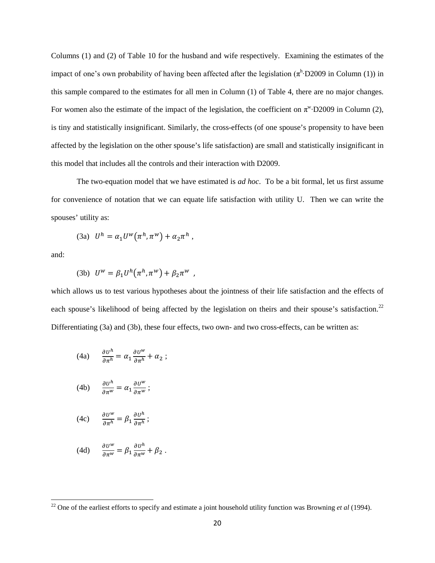Columns (1) and (2) of Table 10 for the husband and wife respectively. Examining the estimates of the impact of one's own probability of having been affected after the legislation  $(\pi^h$ -D2009 in Column (1)) in this sample compared to the estimates for all men in Column (1) of Table 4, there are no major changes. For women also the estimate of the impact of the legislation, the coefficient on  $\pi^w$ ·D2009 in Column (2), is tiny and statistically insignificant. Similarly, the cross-effects (of one spouse's propensity to have been affected by the legislation on the other spouse's life satisfaction) are small and statistically insignificant in this model that includes all the controls and their interaction with D2009.

The two-equation model that we have estimated is *ad hoc*. To be a bit formal, let us first assume for convenience of notation that we can equate life satisfaction with utility U. Then we can write the spouses' utility as:

$$
(3a) Uh = \alpha_1 Uw (\pih, \piw) + \alpha_2 \pih,
$$

and:

(3b) 
$$
U^w = \beta_1 U^h(\pi^h, \pi^w) + \beta_2 \pi^w
$$
,

which allows us to test various hypotheses about the jointness of their life satisfaction and the effects of each spouse's likelihood of being affected by the legislation on theirs and their spouse's satisfaction.<sup>[22](#page-21-2)</sup> Differentiating (3a) and (3b), these four effects, two own- and two cross-effects, can be written as:

(4a) 
$$
\frac{\partial U^h}{\partial \pi^h} = \alpha_1 \frac{\partial U^w}{\partial \pi^h} + \alpha_2 ;
$$

(4b) 
$$
\frac{\partial U^h}{\partial \pi^w} = \alpha_1 \frac{\partial U^w}{\partial \pi^w};
$$

(4c) 
$$
\frac{\partial U^w}{\partial \pi^h} = \beta_1 \frac{\partial U^h}{\partial \pi^h};
$$

(4d) 
$$
\frac{\partial U^w}{\partial \pi^w} = \beta_1 \frac{\partial U^h}{\partial \pi^w} + \beta_2.
$$

<sup>22</sup> One of the earliest efforts to specify and estimate a joint household utility function was Browning *et al* (1994).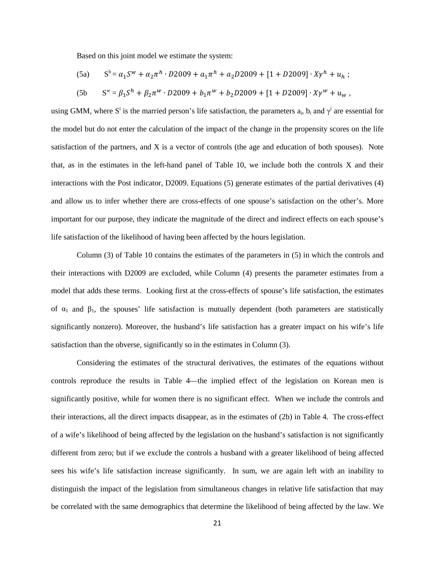Based on this joint model we estimate the system:

(5a) 
$$
S^{h} = \alpha_{1}S^{w} + \alpha_{2}\pi^{h} \cdot D2009 + \alpha_{1}\pi^{h} + \alpha_{2}D2009 + [1 + D2009] \cdot X\gamma^{h} + u_{h};
$$
  
(5b) 
$$
S^{w} = \beta_{1}S^{h} + \beta_{2}\pi^{w} \cdot D2009 + b_{1}\pi^{w} + b_{2}D2009 + [1 + D2009] \cdot X\gamma^{w} + u_{w},
$$

using GMM, where S<sup>i</sup> is the married person's life satisfaction, the parameters  $a_i$ ,  $b_i$  and  $\gamma^i$  are essential for the model but do not enter the calculation of the impact of the change in the propensity scores on the life satisfaction of the partners, and X is a vector of controls (the age and education of both spouses). Note that, as in the estimates in the left-hand panel of Table 10, we include both the controls X and their interactions with the Post indicator, D2009. Equations (5) generate estimates of the partial derivatives (4) and allow us to infer whether there are cross-effects of one spouse's satisfaction on the other's. More important for our purpose, they indicate the magnitude of the direct and indirect effects on each spouse's life satisfaction of the likelihood of having been affected by the hours legislation.

Column (3) of Table 10 contains the estimates of the parameters in (5) in which the controls and their interactions with D2009 are excluded, while Column (4) presents the parameter estimates from a model that adds these terms. Looking first at the cross-effects of spouse's life satisfaction, the estimates of  $\alpha_1$  and  $\beta_1$ , the spouses' life satisfaction is mutually dependent (both parameters are statistically significantly nonzero). Moreover, the husband's life satisfaction has a greater impact on his wife's life satisfaction than the obverse, significantly so in the estimates in Column (3).

Considering the estimates of the structural derivatives, the estimates of the equations without controls reproduce the results in Table 4—the implied effect of the legislation on Korean men is significantly positive, while for women there is no significant effect. When we include the controls and their interactions, all the direct impacts disappear, as in the estimates of (2b) in Table 4. The cross-effect of a wife's likelihood of being affected by the legislation on the husband's satisfaction is not significantly different from zero; but if we exclude the controls a husband with a greater likelihood of being affected sees his wife's life satisfaction increase significantly. In sum, we are again left with an inability to distinguish the impact of the legislation from simultaneous changes in relative life satisfaction that may be correlated with the same demographics that determine the likelihood of being affected by the law. We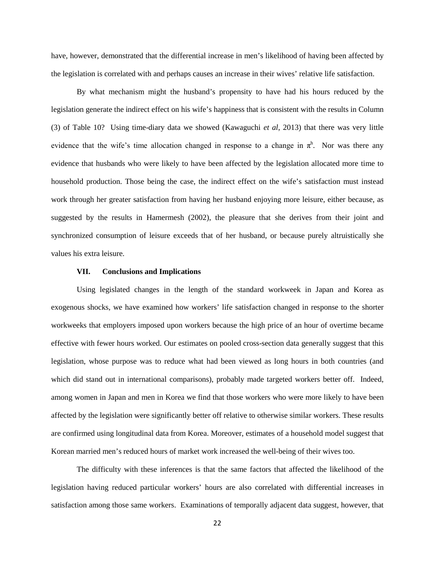have, however, demonstrated that the differential increase in men's likelihood of having been affected by the legislation is correlated with and perhaps causes an increase in their wives' relative life satisfaction.

By what mechanism might the husband's propensity to have had his hours reduced by the legislation generate the indirect effect on his wife's happiness that is consistent with the results in Column (3) of Table 10? Using time-diary data we showed (Kawaguchi *et al*, 2013) that there was very little evidence that the wife's time allocation changed in response to a change in  $\pi$ <sup>h</sup>. Nor was there any evidence that husbands who were likely to have been affected by the legislation allocated more time to household production. Those being the case, the indirect effect on the wife's satisfaction must instead work through her greater satisfaction from having her husband enjoying more leisure, either because, as suggested by the results in Hamermesh (2002), the pleasure that she derives from their joint and synchronized consumption of leisure exceeds that of her husband, or because purely altruistically she values his extra leisure.

#### **VII. Conclusions and Implications**

Using legislated changes in the length of the standard workweek in Japan and Korea as exogenous shocks, we have examined how workers' life satisfaction changed in response to the shorter workweeks that employers imposed upon workers because the high price of an hour of overtime became effective with fewer hours worked. Our estimates on pooled cross-section data generally suggest that this legislation, whose purpose was to reduce what had been viewed as long hours in both countries (and which did stand out in international comparisons), probably made targeted workers better off. Indeed, among women in Japan and men in Korea we find that those workers who were more likely to have been affected by the legislation were significantly better off relative to otherwise similar workers. These results are confirmed using longitudinal data from Korea. Moreover, estimates of a household model suggest that Korean married men's reduced hours of market work increased the well-being of their wives too.

The difficulty with these inferences is that the same factors that affected the likelihood of the legislation having reduced particular workers' hours are also correlated with differential increases in satisfaction among those same workers. Examinations of temporally adjacent data suggest, however, that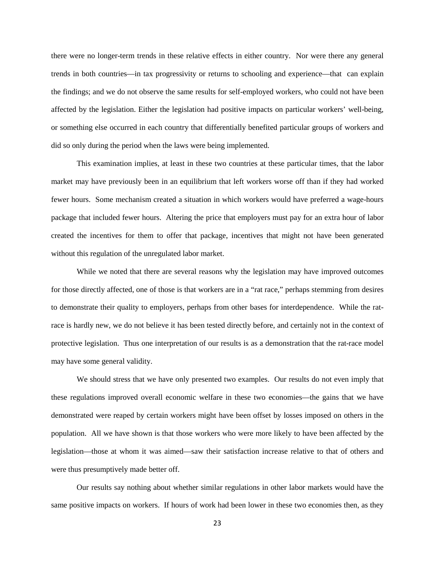there were no longer-term trends in these relative effects in either country. Nor were there any general trends in both countries—in tax progressivity or returns to schooling and experience—that can explain the findings; and we do not observe the same results for self-employed workers, who could not have been affected by the legislation. Either the legislation had positive impacts on particular workers' well-being, or something else occurred in each country that differentially benefited particular groups of workers and did so only during the period when the laws were being implemented.

This examination implies, at least in these two countries at these particular times, that the labor market may have previously been in an equilibrium that left workers worse off than if they had worked fewer hours. Some mechanism created a situation in which workers would have preferred a wage-hours package that included fewer hours. Altering the price that employers must pay for an extra hour of labor created the incentives for them to offer that package, incentives that might not have been generated without this regulation of the unregulated labor market.

While we noted that there are several reasons why the legislation may have improved outcomes for those directly affected, one of those is that workers are in a "rat race," perhaps stemming from desires to demonstrate their quality to employers, perhaps from other bases for interdependence. While the ratrace is hardly new, we do not believe it has been tested directly before, and certainly not in the context of protective legislation. Thus one interpretation of our results is as a demonstration that the rat-race model may have some general validity.

We should stress that we have only presented two examples. Our results do not even imply that these regulations improved overall economic welfare in these two economies—the gains that we have demonstrated were reaped by certain workers might have been offset by losses imposed on others in the population. All we have shown is that those workers who were more likely to have been affected by the legislation—those at whom it was aimed—saw their satisfaction increase relative to that of others and were thus presumptively made better off.

Our results say nothing about whether similar regulations in other labor markets would have the same positive impacts on workers. If hours of work had been lower in these two economies then, as they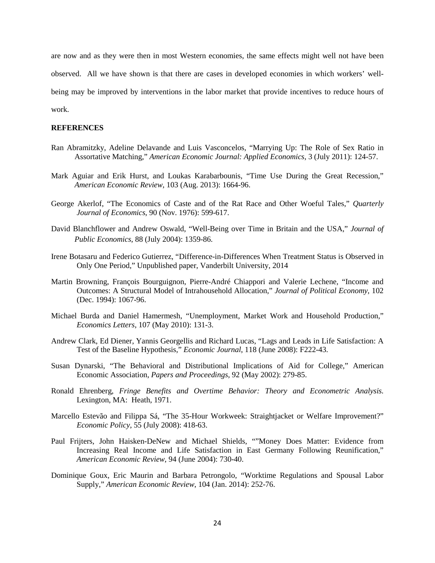are now and as they were then in most Western economies, the same effects might well not have been observed. All we have shown is that there are cases in developed economies in which workers' wellbeing may be improved by interventions in the labor market that provide incentives to reduce hours of work.

#### **REFERENCES**

- Ran Abramitzky, Adeline Delavande and Luis Vasconcelos, "Marrying Up: The Role of Sex Ratio in Assortative Matching," *American Economic Journal: Applied Economics*, 3 (July 2011): 124-57.
- Mark Aguiar and Erik Hurst, and Loukas Karabarbounis, "Time Use During the Great Recession," *American Economic Review*, 103 (Aug. 2013): 1664-96.
- George Akerlof, "The Economics of Caste and of the Rat Race and Other Woeful Tales," *Quarterly Journal of Economics*, 90 (Nov. 1976): 599-617.
- David Blanchflower and Andrew Oswald, "Well-Being over Time in Britain and the USA," *Journal of Public Economics*, 88 (July 2004): 1359-86.
- Irene Botasaru and Federico Gutierrez, "Difference-in-Differences When Treatment Status is Observed in Only One Period," Unpublished paper, Vanderbilt University, 2014
- Martin Browning, François Bourguignon, Pierre-André Chiappori and Valerie Lechene, "Income and Outcomes: A Structural Model of Intrahousehold Allocation," *Journal of Political Economy*, 102 (Dec. 1994): 1067-96.
- Michael Burda and Daniel Hamermesh, "Unemployment, Market Work and Household Production," *Economics Letters*, 107 (May 2010): 131-3.
- Andrew Clark, Ed Diener, Yannis Georgellis and Richard Lucas, "Lags and Leads in Life Satisfaction: A Test of the Baseline Hypothesis," *Economic Journal*, 118 (June 2008): F222-43.
- Susan Dynarski, "The Behavioral and Distributional Implications of Aid for College," American Economic Association, *Papers and Proceedings*, 92 (May 2002): 279-85.
- Ronald Ehrenberg, *Fringe Benefits and Overtime Behavior: Theory and Econometric Analysis*. Lexington, MA: Heath, 1971.
- Marcello Estevão and Filippa Sá, "The 35-Hour Workweek: Straightjacket or Welfare Improvement?" *Economic Policy*, 55 (July 2008): 418-63.
- Paul Frijters, John Haisken-DeNew and Michael Shields, ""Money Does Matter: Evidence from Increasing Real Income and Life Satisfaction in East Germany Following Reunification," *American Economic Review*, 94 (June 2004): 730-40.
- Dominique Goux, Eric Maurin and Barbara Petrongolo, "Worktime Regulations and Spousal Labor Supply," *American Economic Review*, 104 (Jan. 2014): 252-76.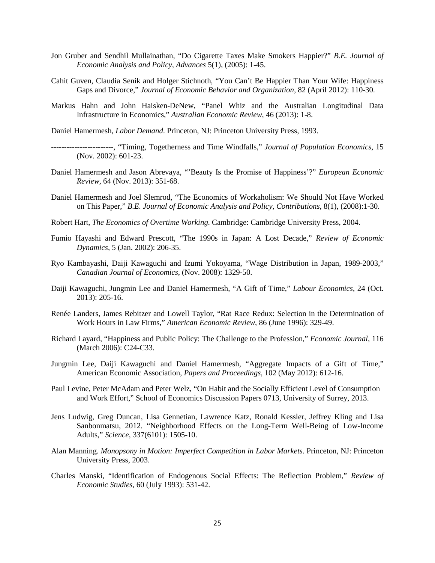- Jon Gruber and Sendhil Mullainathan, "Do Cigarette Taxes Make Smokers Happier?" *B.E. Journal of Economic Analysis and Policy*, *Advances* 5(1), (2005): 1-45.
- Cahit Guven, Claudia Senik and Holger Stichnoth, "You Can't Be Happier Than Your Wife: Happiness Gaps and Divorce," *Journal of Economic Behavior and Organization*, 82 (April 2012): 110-30.
- Markus Hahn and John Haisken-DeNew, "Panel Whiz and the Australian Longitudinal Data Infrastructure in Economics," *Australian Economic Review*, 46 (2013): 1-8.
- Daniel Hamermesh, *Labor Demand*. Princeton, NJ: Princeton University Press, 1993.
- ------------------------, "Timing, Togetherness and Time Windfalls," *Journal of Population Economics*, 15 (Nov. 2002): 601-23.
- Daniel Hamermesh and Jason Abrevaya, "'Beauty Is the Promise of Happiness'?" *European Economic Review*, 64 (Nov. 2013): 351-68.
- Daniel Hamermesh and Joel Slemrod, "The Economics of Workaholism: We Should Not Have Worked on This Paper," *B.E. Journal of Economic Analysis and Policy, Contributions*, 8(1), (2008):1-30.
- Robert Hart, *The Economics of Overtime Working*. Cambridge: Cambridge University Press, 2004.
- Fumio Hayashi and Edward Prescott, "The 1990s in Japan: A Lost Decade," *Review of Economic Dynamics*, 5 (Jan. 2002): 206-35.
- Ryo Kambayashi, Daiji Kawaguchi and Izumi Yokoyama, "Wage Distribution in Japan, 1989-2003," *Canadian Journal of Economics*, (Nov. 2008): 1329-50.
- Daiji Kawaguchi, Jungmin Lee and Daniel Hamermesh, "A Gift of Time," *Labour Economics*, 24 (Oct. 2013): 205-16.
- Renée Landers, James Rebitzer and Lowell Taylor, "Rat Race Redux: Selection in the Determination of Work Hours in Law Firms," *American Economic Review*, 86 (June 1996): 329-49.
- Richard Layard, "Happiness and Public Policy: The Challenge to the Profession," *Economic Journal*, 116 (March 2006): C24-C33.
- Jungmin Lee, Daiji Kawaguchi and Daniel Hamermesh, "Aggregate Impacts of a Gift of Time," American Economic Association*, Papers and Proceedings*, 102 (May 2012): 612-16.
- Paul Levine, Peter McAdam and Peter Welz, ["On Habit and the Socially Efficient Level of Consumption](https://wmail.austin.utexas.edu/owa/redir.aspx?C=3Hf9xs6ZCEyqiS9CzwrGvWAcUW2nDNEI5Wzp9jt3n_yz8kuTK-383r2Jgi8Ko1eLBkBvLroRPXU.&URL=http%3a%2f%2fideas.repec.org%2fp%2fsur%2fsurrec%2f0713.html)  [and Work Effort,](https://wmail.austin.utexas.edu/owa/redir.aspx?C=3Hf9xs6ZCEyqiS9CzwrGvWAcUW2nDNEI5Wzp9jt3n_yz8kuTK-383r2Jgi8Ko1eLBkBvLroRPXU.&URL=http%3a%2f%2fideas.repec.org%2fp%2fsur%2fsurrec%2f0713.html)" [School of Economics Discussion Papers](https://wmail.austin.utexas.edu/owa/redir.aspx?C=3Hf9xs6ZCEyqiS9CzwrGvWAcUW2nDNEI5Wzp9jt3n_yz8kuTK-383r2Jgi8Ko1eLBkBvLroRPXU.&URL=http%3a%2f%2fideas.repec.org%2fs%2fsur%2fsurrec.html) 0713, University of Surrey, 2013.
- Jens Ludwig, Greg Duncan, Lisa Gennetian, Lawrence Katz, Ronald Kessler, Jeffrey Kling and Lisa Sanbonmatsu, 2012. "Neighborhood Effects on the Long-Term Well-Being of Low-Income Adults," *Science*, 337(6101): 1505-10.
- Alan Manning. *Monopsony in Motion: Imperfect Competition in Labor Markets*. Princeton, NJ: Princeton University Press, 2003.
- Charles Manski, "Identification of Endogenous Social Effects: The Reflection Problem," *Review of Economic Studies*, 60 (July 1993): 531-42.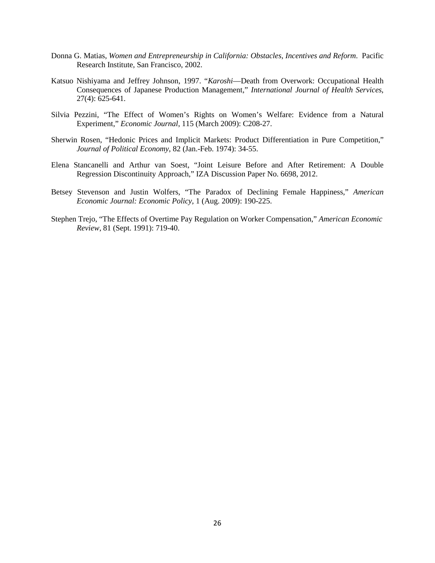- Donna G. Matias, *Women and Entrepreneurship in California: Obstacles, Incentives and Reform*. Pacific Research Institute, San Francisco, 2002.
- Katsuo Nishiyama and Jeffrey Johnson, 1997. "*Karoshi*—Death from Overwork: Occupational Health Consequences of Japanese Production Management," *International Journal of Health Services*,  $27(4)$ : 625-641.
- Silvia Pezzini, "The Effect of Women's Rights on Women's Welfare: Evidence from a Natural Experiment," *Economic Journal*, 115 (March 2009): C208-27.
- Sherwin Rosen, "Hedonic Prices and Implicit Markets: Product Differentiation in Pure Competition," *Journal of Political Economy*, 82 (Jan.-Feb. 1974): 34-55.
- Elena Stancanelli and Arthur van Soest, "Joint Leisure Before and After Retirement: A Double Regression Discontinuity Approach," IZA Discussion Paper No. 6698, 2012.
- Betsey Stevenson and Justin Wolfers, "The Paradox of Declining Female Happiness," *American Economic Journal: Economic Policy*, 1 (Aug. 2009): 190-225.
- Stephen Trejo, "The Effects of Overtime Pay Regulation on Worker Compensation," *American Economic Review*, 81 (Sept. 1991): 719-40.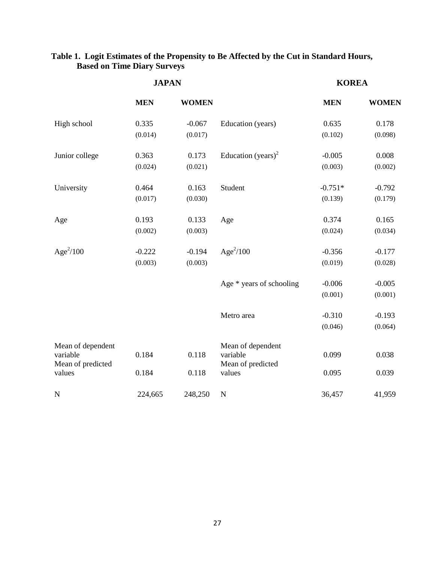#### **Table 1. Logit Estimates of the Propensity to Be Affected by the Cut in Standard Hours, Based on Time Diary Surveys**

|                               | <b>JAPAN</b> |              |                                | <b>KOREA</b> |              |
|-------------------------------|--------------|--------------|--------------------------------|--------------|--------------|
|                               | <b>MEN</b>   | <b>WOMEN</b> |                                | <b>MEN</b>   | <b>WOMEN</b> |
| High school                   | 0.335        | $-0.067$     | Education (years)              | 0.635        | 0.178        |
|                               | (0.014)      | (0.017)      |                                | (0.102)      | (0.098)      |
| Junior college                | 0.363        | 0.173        | Education (years) <sup>2</sup> | $-0.005$     | 0.008        |
|                               | (0.024)      | (0.021)      |                                | (0.003)      | (0.002)      |
| University                    | 0.464        | 0.163        | Student                        | $-0.751*$    | $-0.792$     |
|                               | (0.017)      | (0.030)      |                                | (0.139)      | (0.179)      |
| Age                           | 0.193        | 0.133        | Age                            | 0.374        | 0.165        |
|                               | (0.002)      | (0.003)      |                                | (0.024)      | (0.034)      |
| Age $^{2}/100$                | $-0.222$     | $-0.194$     | Age <sup>2</sup> /100          | $-0.356$     | $-0.177$     |
|                               | (0.003)      | (0.003)      |                                | (0.019)      | (0.028)      |
|                               |              |              | Age * years of schooling       | $-0.006$     | $-0.005$     |
|                               |              |              |                                | (0.001)      | (0.001)      |
|                               |              |              | Metro area                     | $-0.310$     | $-0.193$     |
|                               |              |              |                                | (0.046)      | (0.064)      |
| Mean of dependent             |              |              | Mean of dependent              |              |              |
| variable<br>Mean of predicted | 0.184        | 0.118        | variable<br>Mean of predicted  | 0.099        | 0.038        |
| values                        | 0.184        | 0.118        | values                         | 0.095        | 0.039        |
| $\mathbf N$                   | 224,665      | 248,250      | $\mathbf N$                    | 36,457       | 41,959       |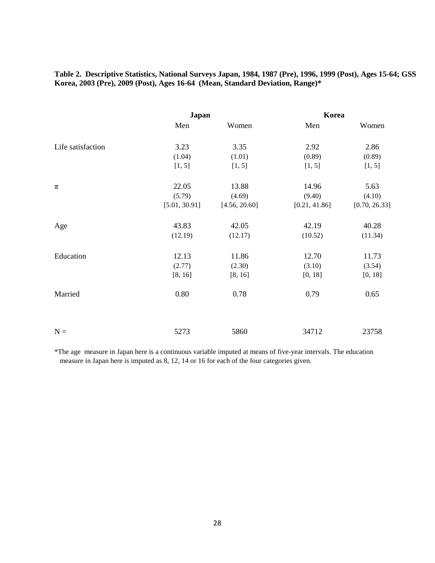**Table 2. Descriptive Statistics, National Surveys Japan, 1984, 1987 (Pre), 1996, 1999 (Post), Ages 15-64; GSS Korea, 2003 (Pre), 2009 (Post), Ages 16-64 (Mean, Standard Deviation, Range)\***

|                   | Japan         |               | Korea         |               |
|-------------------|---------------|---------------|---------------|---------------|
|                   | Men           | Women         | Men           | Women         |
| Life satisfaction | 3.23          | 3.35          | 2.92          | 2.86          |
|                   | (1.04)        | (1.01)        | (0.89)        | (0.89)        |
|                   | [1, 5]        | [1, 5]        | [1, 5]        | [1, 5]        |
| $\pi$             | 22.05         | 13.88         | 14.96         | 5.63          |
|                   | (5.79)        | (4.69)        | (9.40)        | (4.10)        |
|                   | [5.01, 30.91] | [4.56, 20.60] | [0.21, 41.86] | [0.70, 26.33] |
| Age               | 43.83         | 42.05         | 42.19         | 40.28         |
|                   | (12.19)       | (12.17)       | (10.52)       | (11.34)       |
| Education         | 12.13         | 11.86         | 12.70         | 11.73         |
|                   | (2.77)        | (2.30)        | (3.10)        | (3.54)        |
|                   | [8, 16]       | [8, 16]       | [0, 18]       | [0, 18]       |
| Married           | $0.80\,$      | 0.78          | 0.79          | 0.65          |
| $N =$             | 5273          | 5860          | 34712         | 23758         |

\*The age measure in Japan here is a continuous variable imputed at means of five-year intervals. The education measure in Japan here is imputed as 8, 12, 14 or 16 for each of the four categories given.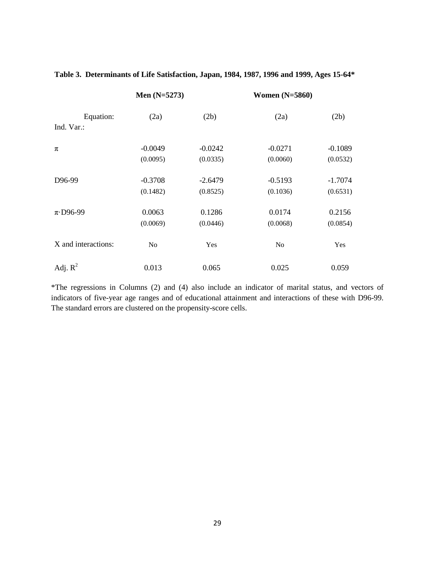|                     | Men $(N=5273)$ |           | <b>Women</b> (N=5860) |           |  |
|---------------------|----------------|-----------|-----------------------|-----------|--|
| Equation:           | (2a)           | (2b)      | (2a)                  | (2b)      |  |
| Ind. Var.:          |                |           |                       |           |  |
| π                   | $-0.0049$      | $-0.0242$ | $-0.0271$             | $-0.1089$ |  |
|                     | (0.0095)       | (0.0335)  | (0.0060)              | (0.0532)  |  |
| D96-99              | $-0.3708$      | $-2.6479$ | $-0.5193$             | $-1.7074$ |  |
|                     | (0.1482)       | (0.8525)  | (0.1036)              | (0.6531)  |  |
| $\pi$ ·D96-99       | 0.0063         | 0.1286    | 0.0174                | 0.2156    |  |
|                     | (0.0069)       | (0.0446)  | (0.0068)              | (0.0854)  |  |
| X and interactions: | N <sub>o</sub> | Yes       | No                    | Yes       |  |
| Adj. $R^2$          | 0.013          | 0.065     | 0.025                 | 0.059     |  |

#### **Table 3. Determinants of Life Satisfaction, Japan, 1984, 1987, 1996 and 1999, Ages 15-64\***

\*The regressions in Columns (2) and (4) also include an indicator of marital status, and vectors of indicators of five-year age ranges and of educational attainment and interactions of these with D96-99. The standard errors are clustered on the propensity-score cells.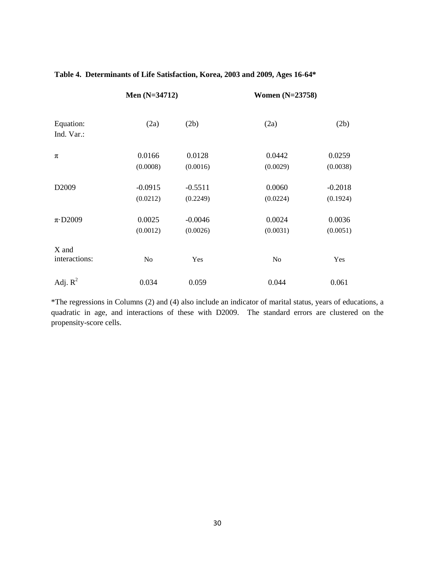#### **Table 4. Determinants of Life Satisfaction, Korea, 2003 and 2009, Ages 16-64\***

|                         | Men $(N=34712)$ |           | <b>Women (N=23758)</b> |           |  |
|-------------------------|-----------------|-----------|------------------------|-----------|--|
| Equation:<br>Ind. Var.: | (2a)            | (2b)      | (2a)                   | (2b)      |  |
| $\pi$                   | 0.0166          | 0.0128    | 0.0442                 | 0.0259    |  |
|                         | (0.0008)        | (0.0016)  | (0.0029)               | (0.0038)  |  |
| D <sub>2009</sub>       | $-0.0915$       | $-0.5511$ | 0.0060                 | $-0.2018$ |  |
|                         | (0.0212)        | (0.2249)  | (0.0224)               | (0.1924)  |  |
| $\pi$ ·D2009            | 0.0025          | $-0.0046$ | 0.0024                 | 0.0036    |  |
|                         | (0.0012)        | (0.0026)  | (0.0031)               | (0.0051)  |  |
| X and                   |                 |           |                        |           |  |
| interactions:           | No              | Yes       | No                     | Yes       |  |
| Adj. $R^2$              | 0.034           | 0.059     | 0.044                  | 0.061     |  |

\*The regressions in Columns (2) and (4) also include an indicator of marital status, years of educations, a quadratic in age, and interactions of these with D2009. The standard errors are clustered on the propensity-score cells.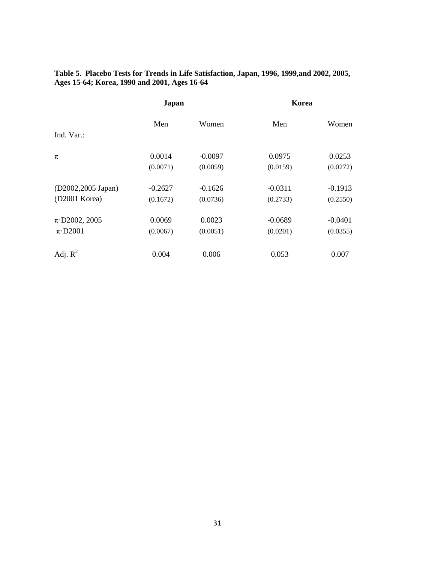#### **Table 5. Placebo Tests for Trends in Life Satisfaction, Japan, 1996, 1999,and 2002, 2005, Ages 15-64; Korea, 1990 and 2001, Ages 16-64**

|                          | <b>Japan</b> |           | Korea     |           |
|--------------------------|--------------|-----------|-----------|-----------|
|                          | Men          | Women     | Men       | Women     |
| Ind. Var.:               |              |           |           |           |
| π                        | 0.0014       | $-0.0097$ | 0.0975    | 0.0253    |
|                          | (0.0071)     | (0.0059)  | (0.0159)  | (0.0272)  |
| (D2002,2005 Japan)       | $-0.2627$    | $-0.1626$ | $-0.0311$ | $-0.1913$ |
| (D2001 Korea)            | (0.1672)     | (0.0736)  | (0.2733)  | (0.2550)  |
| $\pi$ ·D2002, 2005       | 0.0069       | 0.0023    | $-0.0689$ | $-0.0401$ |
| $\pi$ ·D <sub>2001</sub> | (0.0067)     | (0.0051)  | (0.0201)  | (0.0355)  |
| Adj. $R^2$               | 0.004        | 0.006     | 0.053     | 0.007     |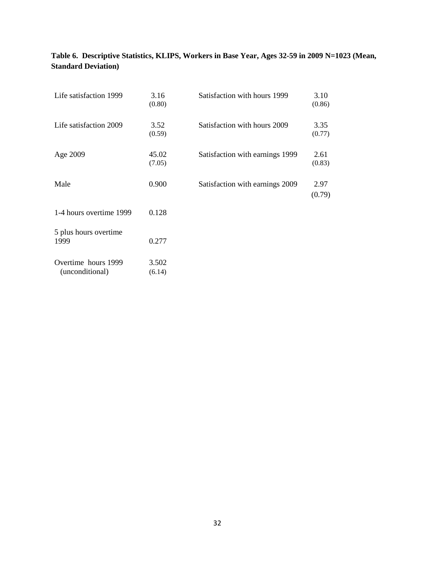### **Table 6. Descriptive Statistics, KLIPS, Workers in Base Year, Ages 32-59 in 2009 N=1023 (Mean, Standard Deviation)**

| Life satisfaction 1999                 | 3.16<br>(0.80)  | Satisfaction with hours 1999    | 3.10<br>(0.86) |
|----------------------------------------|-----------------|---------------------------------|----------------|
| Life satisfaction 2009                 | 3.52<br>(0.59)  | Satisfaction with hours 2009    | 3.35<br>(0.77) |
| Age 2009                               | 45.02<br>(7.05) | Satisfaction with earnings 1999 | 2.61<br>(0.83) |
| Male                                   | 0.900           | Satisfaction with earnings 2009 | 2.97<br>(0.79) |
| 1-4 hours overtime 1999                | 0.128           |                                 |                |
| 5 plus hours overtime<br>1999          | 0.277           |                                 |                |
| Overtime hours 1999<br>(unconditional) | 3.502<br>(6.14) |                                 |                |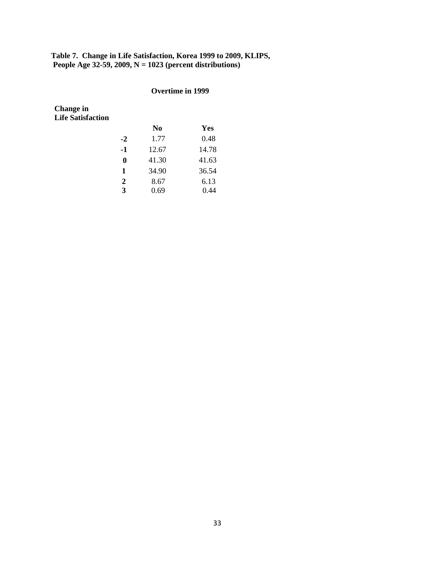**Table 7. Change in Life Satisfaction, Korea 1999 to 2009, KLIPS, People Age 32-59, 2009, N = 1023 (percent distributions)**

 **Overtime in 1999**

**Change in Life Satisfaction**

|              | N <sub>0</sub> | Yes   |
|--------------|----------------|-------|
| $-2$         | 1.77           | 0.48  |
| $-1$         | 12.67          | 14.78 |
| 0            | 41.30          | 41.63 |
| 1            | 34.90          | 36.54 |
| 2            | 8.67           | 6.13  |
| $\mathbf{3}$ | 0.69           | 0.44  |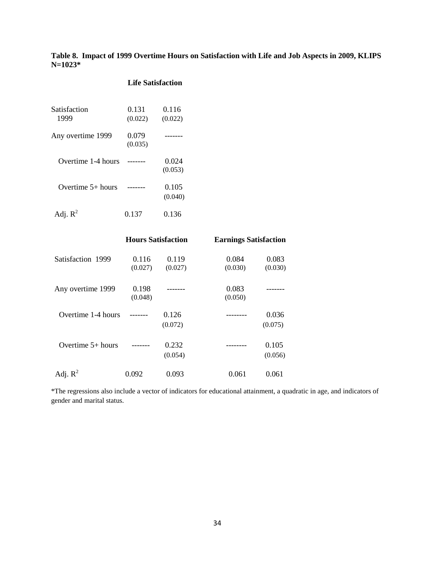**Table 8. Impact of 1999 Overtime Hours on Satisfaction with Life and Job Aspects in 2009, KLIPS N=1023\***

| Satisfaction<br>1999 | 0.131<br>(0.022) | 0.116<br>(0.022) |
|----------------------|------------------|------------------|
| Any overtime 1999    | 0.079<br>(0.035) |                  |
| Overtime 1-4 hours   |                  | 0.024<br>(0.053) |
| Overtime $5+$ hours  |                  | 0.105<br>(0.040) |
| Adj. $R^2$           | 0.137            | 0.136            |

 **Life Satisfaction** 

|                     | <b>Hours Satisfaction</b> |                  | <b>Earnings Satisfaction</b> |                  |
|---------------------|---------------------------|------------------|------------------------------|------------------|
| Satisfaction 1999   | 0.116<br>(0.027)          | 0.119<br>(0.027) | 0.084<br>(0.030)             | 0.083<br>(0.030) |
| Any overtime 1999   | 0.198<br>(0.048)          |                  | 0.083<br>(0.050)             |                  |
| Overtime 1-4 hours  | -------                   | 0.126<br>(0.072) |                              | 0.036<br>(0.075) |
| Overtime $5+$ hours |                           | 0.232<br>(0.054) |                              | 0.105<br>(0.056) |
| Adj. $R^2$          | 0.092                     | 0.093            | 0.061                        | 0.061            |

\*The regressions also include a vector of indicators for educational attainment, a quadratic in age, and indicators of gender and marital status.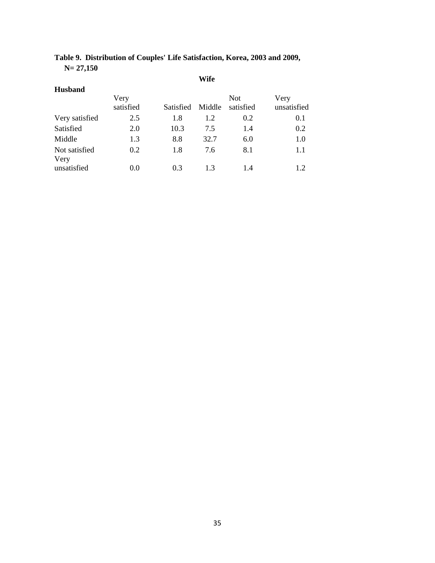|              | Table 9. Distribution of Couples' Life Satisfaction, Korea, 2003 and 2009, |  |  |
|--------------|----------------------------------------------------------------------------|--|--|
| $N = 27,150$ |                                                                            |  |  |

|                       |           |           | Wife   |            |             |
|-----------------------|-----------|-----------|--------|------------|-------------|
| <b>Husband</b>        |           |           |        |            |             |
|                       | Very      |           |        | <b>Not</b> | Very        |
|                       | satisfied | Satisfied | Middle | satisfied  | unsatisfied |
| Very satisfied        | 2.5       | 1.8       | 1.2    | 0.2        | 0.1         |
| Satisfied             | 2.0       | 10.3      | 7.5    | 1.4        | 0.2         |
| Middle                | 1.3       | 8.8       | 32.7   | 6.0        | 1.0         |
| Not satisfied<br>Very | 0.2       | 1.8       | 7.6    | 8.1        | 1.1         |
| unsatisfied           | 0.0       | 0.3       | 13     | 1.4        | 1.2         |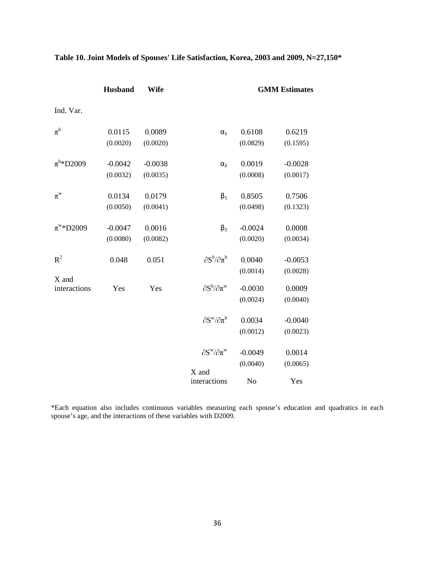|                           | <b>Husband</b> | <b>Wife</b> |                               | <b>GMM Estimates</b> |           |
|---------------------------|----------------|-------------|-------------------------------|----------------------|-----------|
| Ind. Var.                 |                |             |                               |                      |           |
| $\pi^\text{h}$            | 0.0115         | 0.0089      | $\alpha_1$                    | 0.6108               | 0.6219    |
|                           | (0.0020)       | (0.0020)    |                               | (0.0829)             | (0.1595)  |
| $\pi^{\mathrm{h}}$ *D2009 | $-0.0042$      | $-0.0038$   | $\alpha_2$                    | 0.0019               | $-0.0028$ |
|                           | (0.0032)       | (0.0035)    |                               | (0.0008)             | (0.0017)  |
| $\pi^w$                   | 0.0134         | 0.0179      | $\beta_1$                     | 0.8505               | 0.7506    |
|                           | (0.0050)       | (0.0041)    |                               | (0.0498)             | (0.1323)  |
| $\pi^w * D2009$           | $-0.0047$      | 0.0016      | $\beta_2$                     | $-0.0024$            | 0.0008    |
|                           | (0.0080)       | (0.0082)    |                               | (0.0020)             | (0.0034)  |
| $R^2$                     | 0.048          | 0.051       | $\partial S^h/\partial \pi^h$ | 0.0040               | $-0.0053$ |
| X and                     |                |             |                               | (0.0014)             | (0.0028)  |
| interactions              | Yes            | Yes         | $\partial S^h/\partial \pi^w$ | $-0.0030$            | 0.0009    |
|                           |                |             |                               | (0.0024)             | (0.0040)  |
|                           |                |             | $\partial S^w/\partial \pi^h$ | 0.0034               | $-0.0040$ |
|                           |                |             |                               | (0.0012)             | (0.0023)  |
|                           |                |             | $\partial S^w/\partial \pi^w$ | $-0.0049$            | 0.0014    |
|                           |                |             | X and                         | (0.0040)             | (0.0065)  |
|                           |                |             | interactions                  | No                   | Yes       |

### **Table 10. Joint Models of Spouses' Life Satisfaction, Korea, 2003 and 2009, N=27,150\***

\*Each equation also includes continuous variables measuring each spouse's education and quadratics in each spouse's age, and the interactions of these variables with D2009.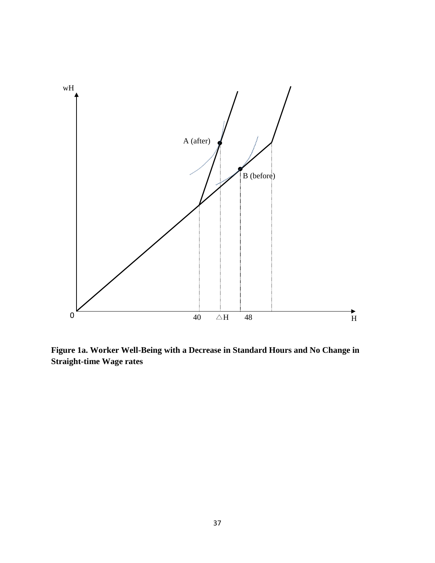

**Figure 1a. Worker Well-Being with a Decrease in Standard Hours and No Change in Straight-time Wage rates**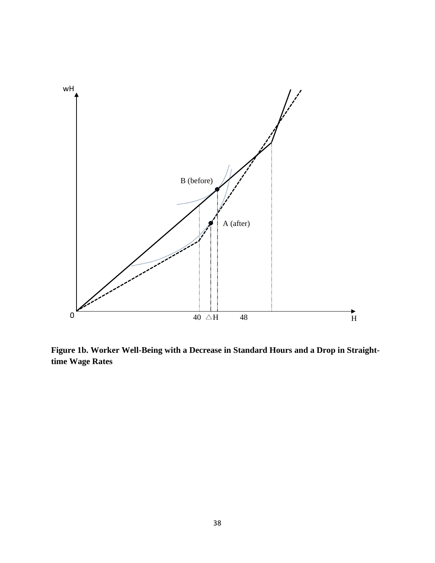

**Figure 1b. Worker Well-Being with a Decrease in Standard Hours and a Drop in Straighttime Wage Rates**